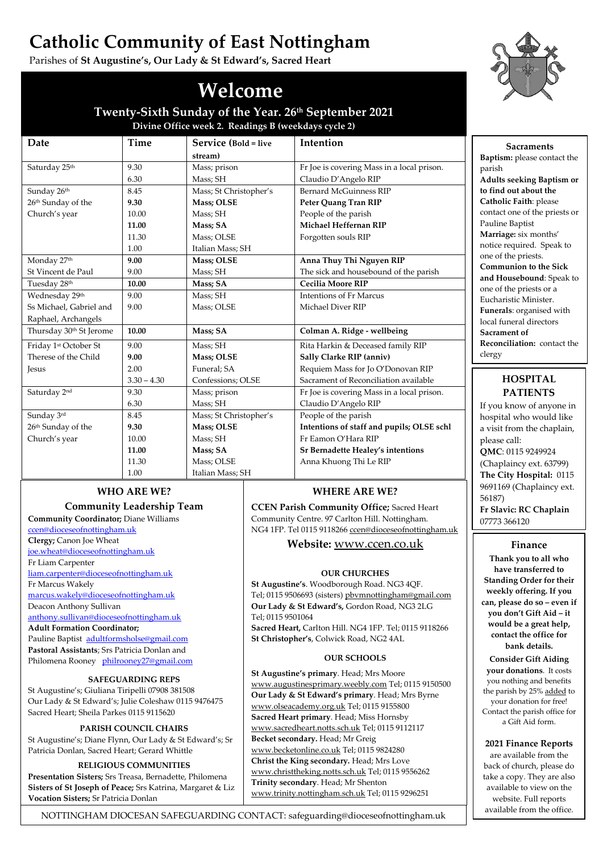# **Catholic Community of East Nottingham**

Parishes of **St Augustine's, Our Lady & St Edward's, Sacred Heart**

# **Welcome**

**Twenty-Sixth Sunday of the Year. 26th September 2021 Divine Office week 2. Readings B (weekdays cycle 2)**

| Date                    | Time          | Service (Bold = live   | Intention                                  |
|-------------------------|---------------|------------------------|--------------------------------------------|
|                         |               | stream)                |                                            |
| Saturday 25th           | 9.30          | Mass; prison           | Fr Joe is covering Mass in a local prison. |
|                         | 6.30          | Mass; SH               | Claudio D'Angelo RIP                       |
| Sunday 26th             | 8.45          | Mass; St Christopher's | Bernard McGuinness RIP                     |
| 26th Sunday of the      | 9.30          | <b>Mass</b> ; OLSE     | Peter Quang Tran RIP                       |
| Church's year           | 10.00         | Mass; SH               | People of the parish                       |
|                         | 11.00         | Mass; SA               | Michael Heffernan RIP                      |
|                         | 11.30         | Mass; OLSE             | Forgotten souls RIP                        |
|                         | 1.00          | Italian Mass; SH       |                                            |
| Monday 27th             | 9.00          | Mass; OLSE             | Anna Thuy Thi Nguyen RIP                   |
| St Vincent de Paul      | 9.00          | Mass; SH               | The sick and housebound of the parish      |
| Tuesday 28th            | 10.00         | Mass; SA               | <b>Cecilia Moore RIP</b>                   |
| Wednesday 29th          | 9.00          | Mass; SH               | Intentions of Fr Marcus                    |
| Ss Michael, Gabriel and | 9.00          | Mass; OLSE             | Michael Diver RIP                          |
| Raphael, Archangels     |               |                        |                                            |
| Thursday 30th St Jerome | 10.00         | Mass; SA               | Colman A. Ridge - wellbeing                |
| Friday 1st October St   | 9.00          | Mass; SH               | Rita Harkin & Deceased family RIP          |
| Therese of the Child    | 9.00          | Mass; OLSE             | Sally Clarke RIP (anniv)                   |
| <b>Jesus</b>            | 2.00          | Funeral: SA            | Requiem Mass for Jo O'Donovan RIP          |
|                         | $3.30 - 4.30$ | Confessions; OLSE      | Sacrament of Reconciliation available      |
| Saturday 2nd            | 9.30          | Mass; prison           | Fr Joe is covering Mass in a local prison. |
|                         | 6.30          | Mass; SH               | Claudio D'Angelo RIP                       |
| Sunday 3rd              | 8.45          | Mass; St Christopher's | People of the parish                       |
| 26th Sunday of the      | 9.30          | Mass; OLSE             | Intentions of staff and pupils; OLSE schl  |
| Church's year           | 10.00         | Mass; SH               | Fr Eamon O'Hara RIP                        |
|                         | 11.00         | Mass; SA               | Sr Bernadette Healey's intentions          |
|                         | 11.30         | Mass; OLSE             | Anna Khuong Thi Le RIP                     |
|                         | 1.00          | Italian Mass; SH       |                                            |

# **WHO ARE WE?**

# **Community Leadership Team**

**Community Coordinator;** Diane Williams [ccen@dioceseofnottingham.uk](mailto:ccen@dioceseofnottingham.uk) **Clergy;** Canon Joe Wheat [joe.wheat@dioceseofnottingham.uk](mailto:joe.wheat@dioceseofnottingham.uk) Fr Liam Carpenter [liam.carpenter@dioceseofnottingham.uk](mailto:liam.carpenter@dioceseofnottingham.uk) Fr Marcus Wakely [marcus.wakely@dioceseofnottingham.uk](mailto:marcus.wakely@dioceseofnottingham.uk) Deacon Anthony Sullivan [anthony.sullivan@dioceseofnottingham.uk](mailto:anthony.sullivan@dioceseofnottingham.uk) **Adult Formation Coordinator;** Pauline Baptist [adultformsholse@gmail.com](mailto:adultformsholse@gmail.com) **Pastoral Assistants**; Srs Patricia Donlan and Philomena Rooney [philrooney27@gmail.com](mailto:philrooney27@gmail.com)

# **SAFEGUARDING REPS**

St Augustine's; Giuliana Tiripelli 07908 381508 Our Lady & St Edward's; Julie Coleshaw 0115 9476475 Sacred Heart; Sheila Parkes 0115 9115620

## **PARISH COUNCIL CHAIRS**

St Augustine's; Diane Flynn, Our Lady & St Edward's; Sr Patricia Donlan, Sacred Heart; Gerard Whittle

## **RELIGIOUS COMMUNITIES**

**Presentation Sisters;** Srs Treasa, Bernadette, Philomena **Sisters of St Joseph of Peace;** Srs Katrina, Margaret & Liz **Vocation Sisters;** Sr Patricia Donlan

# **WHERE ARE WE?**

**CCEN Parish Community Office;** Sacred Heart Community Centre. 97 Carlton Hill. Nottingham. NG4 1FP. Tel 0115 911826[6 ccen@dioceseofnottingham.uk](mailto:ccen@dioceseofnottingham.uk)

# **Website:** [www.ccen.co.uk](http://www.ccen.co.uk/)

## **OUR CHURCHES**

**St Augustine's**. Woodborough Road. NG3 4QF. Tel; 0115 9506693 (sisters[\) pbvmnottingham@gmail.com](mailto:pbvmnottingham@gmail.com) **Our Lady & St Edward's,** Gordon Road, NG3 2LG Tel; 0115 9501064 **Sacred Heart,** Carlton Hill. NG4 1FP. Tel; 0115 9118266 **St Christopher's**, Colwick Road, NG2 4AL

## **OUR SCHOOLS**

**St Augustine's primary**. Head; Mrs Moore [www.augustinesprimary.weebly.com](http://www.augustinesprimary.weebly.com/) Tel; 0115 9150500 **Our Lady & St Edward's primary**. Head; Mrs Byrne [www.olseacademy.org.uk](http://www.olseacademy.org.uk/) Tel; 0115 9155800 **Sacred Heart primary**. Head; Miss Hornsby [www.sacredheart.notts.sch.uk](http://www.sacredheart.notts.sch.uk/) Tel; 0115 9112117 **Becket secondary.** Head; Mr Greig [www.becketonline.co.uk](http://www.becketonline.co.uk/) Tel; 0115 9824280 **Christ the King secondary.** Head; Mrs Love [www.christtheking.notts.sch.uk](http://www.christtheking.notts.sch.uk/) Tel; 0115 9556262 **Trinity secondary**. Head; Mr Shenton [www.trinity.nottingham.sch.uk](http://www.trinity.nottingham.sch.uk/) Tel; 0115 9296251



**Sacraments Baptism:** please contact the parish **Adults seeking Baptism or to find out about the Catholic Faith**: please contact one of the priests or Pauline Baptist **Marriage:** six months' notice required. Speak to one of the priests. **Communion to the Sick and Housebound**: Speak to one of the priests or a Eucharistic Minister. **Funerals**: organised with local funeral directors **Sacrament of Reconciliation:** contact the clergy

# **HOSPITAL PATIENTS**

If you know of anyone in hospital who would like a visit from the chaplain, please call: **QMC**: 0115 9249924 (Chaplaincy ext. 63799) **The City Hospital:** 0115 9691169 (Chaplaincy ext. 56187) **Fr Slavic: RC Chaplain** 07773 366120

## **Finance**

**Thank you to all who have transferred to Standing Order for their weekly offering. If you can, please do so – even if you don't Gift Aid – it would be a great help, contact the office for bank details.**

**Consider Gift Aiding your donations**. It costs you nothing and benefits the parish by 25% added to your donation for free! Contact the parish office for a Gift Aid form.

## **2021 Finance Reports**

are available from the back of church, please do take a copy. They are also available to view on the website. Full reports available from the office.

NOTTINGHAM DIOCESAN SAFEGUARDING CONTACT: safeguarding@dioceseofnottingham.uk